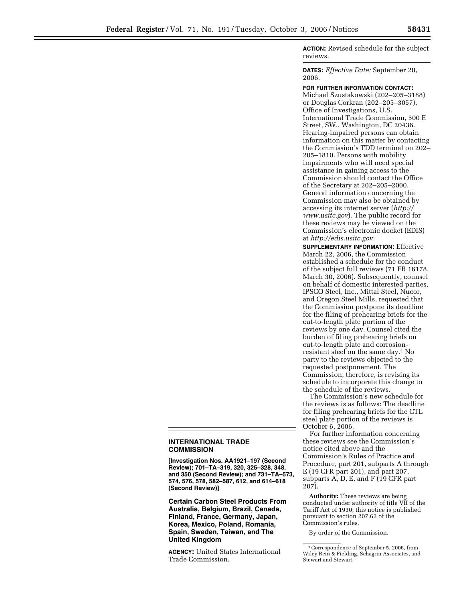**ACTION:** Revised schedule for the subject reviews.

**DATES:** *Effective Date:* September 20, 2006.

**FOR FURTHER INFORMATION CONTACT:**  Michael Szustakowski (202–205–3188) or Douglas Corkran (202–205–3057), Office of Investigations, U.S. International Trade Commission, 500 E Street, SW., Washington, DC 20436. Hearing-impaired persons can obtain information on this matter by contacting the Commission's TDD terminal on 202– 205–1810. Persons with mobility impairments who will need special assistance in gaining access to the Commission should contact the Office of the Secretary at 202–205–2000. General information concerning the Commission may also be obtained by accessing its internet server (*http:// www.usitc.gov*). The public record for these reviews may be viewed on the Commission's electronic docket (EDIS) at *http://edis.usitc.gov.* 

**SUPPLEMENTARY INFORMATION:** Effective March 22, 2006, the Commission established a schedule for the conduct of the subject full reviews (71 FR 16178, March 30, 2006). Subsequently, counsel on behalf of domestic interested parties, IPSCO Steel, Inc., Mittal Steel, Nucor, and Oregon Steel Mills, requested that the Commission postpone its deadline for the filing of prehearing briefs for the cut-to-length plate portion of the reviews by one day. Counsel cited the burden of filing prehearing briefs on cut-to-length plate and corrosionresistant steel on the same day.1 No party to the reviews objected to the requested postponement. The Commission, therefore, is revising its schedule to incorporate this change to the schedule of the reviews.

The Commission's new schedule for the reviews is as follows: The deadline for filing prehearing briefs for the CTL steel plate portion of the reviews is October 6, 2006.

For further information concerning these reviews see the Commission's notice cited above and the Commission's Rules of Practice and Procedure, part 201, subparts A through E (19 CFR part 201), and part 207, subparts A, D, E, and F (19 CFR part 207).

**Authority:** These reviews are being conducted under authority of title VII of the Tariff Act of 1930; this notice is published pursuant to section 207.62 of the Commission's rules.

By order of the Commission.

## **INTERNATIONAL TRADE COMMISSION**

**[Investigation Nos. AA1921–197 (Second Review); 701–TA–319, 320, 325–328, 348, and 350 (Second Review); and 731–TA–573, 574, 576, 578, 582–587, 612, and 614–618 (Second Review)]** 

**Certain Carbon Steel Products From Australia, Belgium, Brazil, Canada, Finland, France, Germany, Japan, Korea, Mexico, Poland, Romania, Spain, Sweden, Taiwan, and The United Kingdom** 

**AGENCY:** United States International Trade Commission.

<sup>1</sup>Correspondence of September 5, 2006, from Wiley Rein & Fielding, Schagrin Associates, and Stewart and Stewart.